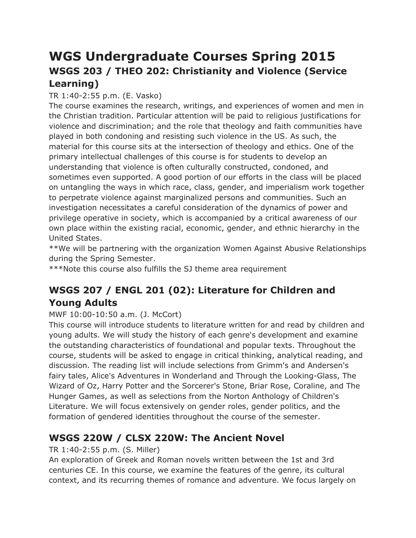# **WGS Undergraduate Courses Spring 2015 WSGS 203 / THEO 202: Christianity and Violence (Service Learning)**

### TR 1:40-2:55 p.m. (E. Vasko)

The course examines the research, writings, and experiences of women and men in the Christian tradition. Particular attention will be paid to religious justifications for violence and discrimination; and the role that theology and faith communities have played in both condoning and resisting such violence in the US. As such, the material for this course sits at the intersection of theology and ethics. One of the primary intellectual challenges of this course is for students to develop an understanding that violence is often culturally constructed, condoned, and sometimes even supported. A good portion of our efforts in the class will be placed on untangling the ways in which race, class, gender, and imperialism work together to perpetrate violence against marginalized persons and communities. Such an investigation necessitates a careful consideration of the dynamics of power and privilege operative in society, which is accompanied by a critical awareness of our own place within the existing racial, economic, gender, and ethnic hierarchy in the United States.

\*\*We will be partnering with the organization Women Against Abusive Relationships during the Spring Semester.

\*\*\*Note this course also fulfills the SJ theme area requirement

## **WSGS 207 / ENGL 201 (02): Literature for Children and Young Adults**

### MWF 10:00-10:50 a.m. (J. McCort)

This course will introduce students to literature written for and read by children and young adults. We will study the history of each genre's development and examine the outstanding characteristics of foundational and popular texts. Throughout the course, students will be asked to engage in critical thinking, analytical reading, and discussion. The reading list will include selections from Grimm's and Andersen's fairy tales, Alice's Adventures in Wonderland and Through the Looking-Glass, The Wizard of Oz, Harry Potter and the Sorcerer's Stone, Briar Rose, Coraline, and The Hunger Games, as well as selections from the Norton Anthology of Children's Literature. We will focus extensively on gender roles, gender politics, and the formation of gendered identities throughout the course of the semester.

## **WSGS 220W / CLSX 220W: The Ancient Novel**

### TR 1:40-2:55 p.m. (S. Miller)

An exploration of Greek and Roman novels written between the 1st and 3rd centuries CE. In this course, we examine the features of the genre, its cultural context, and its recurring themes of romance and adventure. We focus largely on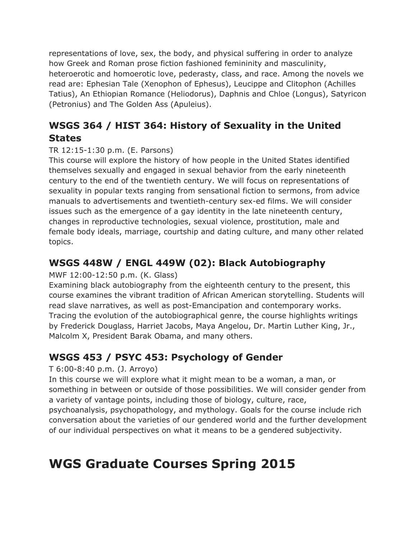representations of love, sex, the body, and physical suffering in order to analyze how Greek and Roman prose fiction fashioned femininity and masculinity, heteroerotic and homoerotic love, pederasty, class, and race. Among the novels we read are: Ephesian Tale (Xenophon of Ephesus), Leucippe and Clitophon (Achilles Tatius), An Ethiopian Romance (Heliodorus), Daphnis and Chloe (Longus), Satyricon (Petronius) and The Golden Ass (Apuleius).

## **WSGS 364 / HIST 364: History of Sexuality in the United States**

### TR 12:15-1:30 p.m. (E. Parsons)

This course will explore the history of how people in the United States identified themselves sexually and engaged in sexual behavior from the early nineteenth century to the end of the twentieth century. We will focus on representations of sexuality in popular texts ranging from sensational fiction to sermons, from advice manuals to advertisements and twentieth-century sex-ed films. We will consider issues such as the emergence of a gay identity in the late nineteenth century, changes in reproductive technologies, sexual violence, prostitution, male and female body ideals, marriage, courtship and dating culture, and many other related topics.

### **WSGS 448W / ENGL 449W (02): Black Autobiography**

### MWF 12:00-12:50 p.m. (K. Glass)

Examining black autobiography from the eighteenth century to the present, this course examines the vibrant tradition of African American storytelling. Students will read slave narratives, as well as post-Emancipation and contemporary works. Tracing the evolution of the autobiographical genre, the course highlights writings by Frederick Douglass, Harriet Jacobs, Maya Angelou, Dr. Martin Luther King, Jr., Malcolm X, President Barak Obama, and many others.

## **WSGS 453 / PSYC 453: Psychology of Gender**

### T 6:00-8:40 p.m. (J. Arroyo)

In this course we will explore what it might mean to be a woman, a man, or something in between or outside of those possibilities. We will consider gender from a variety of vantage points, including those of biology, culture, race, psychoanalysis, psychopathology, and mythology. Goals for the course include rich conversation about the varieties of our gendered world and the further development of our individual perspectives on what it means to be a gendered subjectivity.

# **WGS Graduate Courses Spring 2015**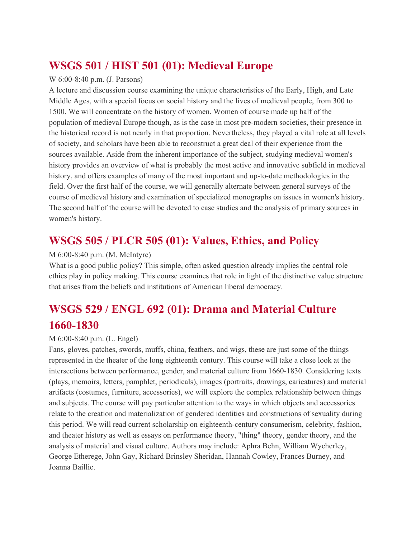## **WSGS 501 / HIST 501 (01): Medieval Europe**

### W 6:00-8:40 p.m. (J. Parsons)

A lecture and discussion course examining the unique characteristics of the Early, High, and Late Middle Ages, with a special focus on social history and the lives of medieval people, from 300 to 1500. We will concentrate on the history of women. Women of course made up half of the population of medieval Europe though, as is the case in most pre-modern societies, their presence in the historical record is not nearly in that proportion. Nevertheless, they played a vital role at all levels of society, and scholars have been able to reconstruct a great deal of their experience from the sources available. Aside from the inherent importance of the subject, studying medieval women's history provides an overview of what is probably the most active and innovative subfield in medieval history, and offers examples of many of the most important and up-to-date methodologies in the field. Over the first half of the course, we will generally alternate between general surveys of the course of medieval history and examination of specialized monographs on issues in women's history. The second half of the course will be devoted to case studies and the analysis of primary sources in women's history.

## **WSGS 505 / PLCR 505 (01): Values, Ethics, and Policy**

### M 6:00-8:40 p.m. (M. McIntyre)

What is a good public policy? This simple, often asked question already implies the central role ethics play in policy making. This course examines that role in light of the distinctive value structure that arises from the beliefs and institutions of American liberal democracy.

# **WSGS 529 / ENGL 692 (01): Drama and Material Culture 1660-1830**

### M 6:00-8:40 p.m. (L. Engel)

Fans, gloves, patches, swords, muffs, china, feathers, and wigs, these are just some of the things represented in the theater of the long eighteenth century. This course will take a close look at the intersections between performance, gender, and material culture from 1660-1830. Considering texts (plays, memoirs, letters, pamphlet, periodicals), images (portraits, drawings, caricatures) and material artifacts (costumes, furniture, accessories), we will explore the complex relationship between things and subjects. The course will pay particular attention to the ways in which objects and accessories relate to the creation and materialization of gendered identities and constructions of sexuality during this period. We will read current scholarship on eighteenth-century consumerism, celebrity, fashion, and theater history as well as essays on performance theory, "thing" theory, gender theory, and the analysis of material and visual culture. Authors may include: Aphra Behn, William Wycherley, George Etherege, John Gay, Richard Brinsley Sheridan, Hannah Cowley, Frances Burney, and Joanna Baillie.